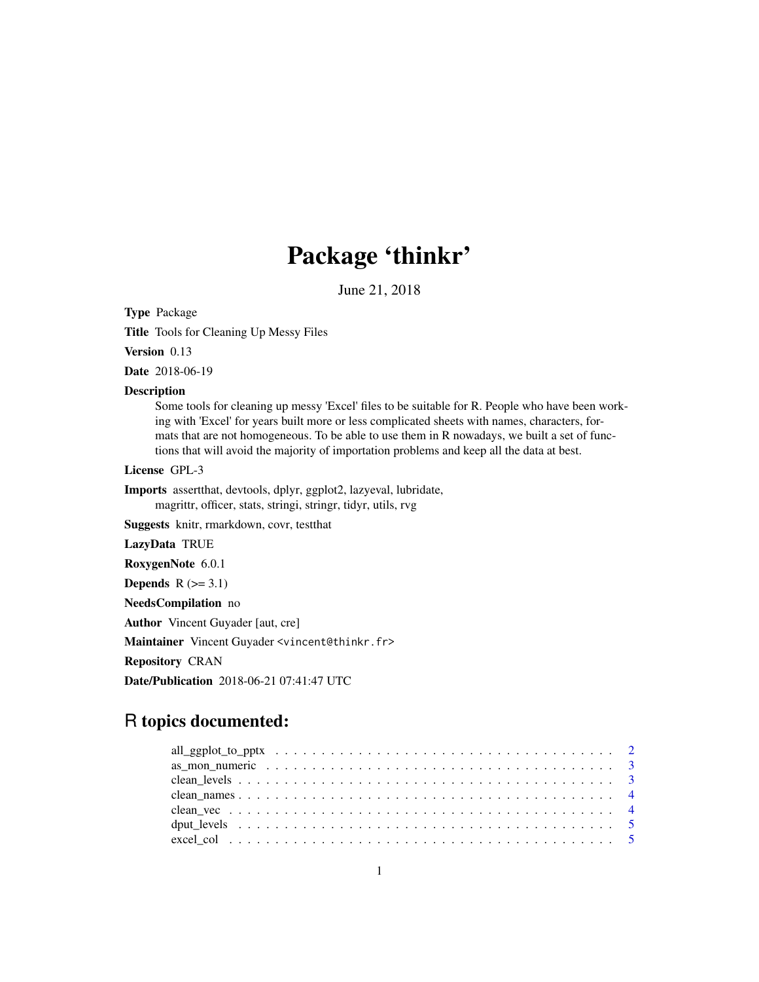# Package 'thinkr'

June 21, 2018

Type Package

Title Tools for Cleaning Up Messy Files

Version 0.13

Date 2018-06-19

#### Description

Some tools for cleaning up messy 'Excel' files to be suitable for R. People who have been working with 'Excel' for years built more or less complicated sheets with names, characters, formats that are not homogeneous. To be able to use them in R nowadays, we built a set of functions that will avoid the majority of importation problems and keep all the data at best.

License GPL-3

Imports assertthat, devtools, dplyr, ggplot2, lazyeval, lubridate, magrittr, officer, stats, stringi, stringr, tidyr, utils, rvg

Suggests knitr, rmarkdown, covr, testthat

LazyData TRUE

RoxygenNote 6.0.1

Depends  $R$  ( $>= 3.1$ )

NeedsCompilation no

Author Vincent Guyader [aut, cre]

Maintainer Vincent Guyader <vincent@thinkr.fr>

Repository CRAN

Date/Publication 2018-06-21 07:41:47 UTC

# R topics documented: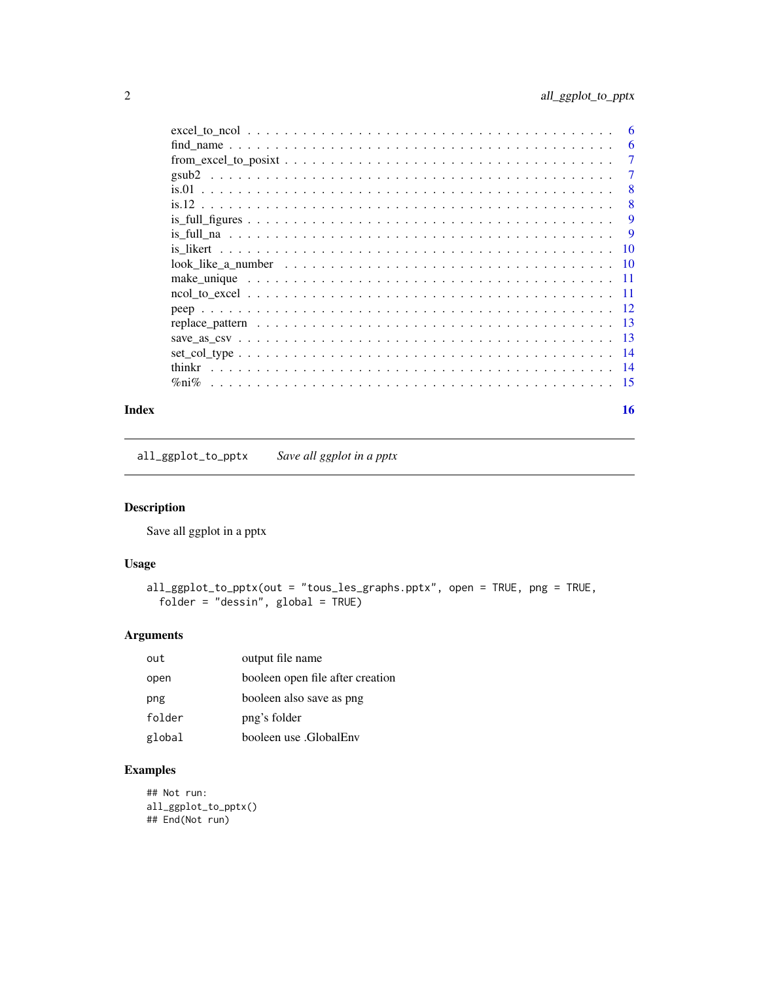<span id="page-1-0"></span>

|                                                                                                          | 6               |
|----------------------------------------------------------------------------------------------------------|-----------------|
|                                                                                                          | 7               |
|                                                                                                          | 7               |
|                                                                                                          | 8               |
|                                                                                                          | 8               |
|                                                                                                          | 9               |
|                                                                                                          | 9               |
|                                                                                                          | $\overline{10}$ |
|                                                                                                          |                 |
| make unique $\ldots \ldots \ldots \ldots \ldots \ldots \ldots \ldots \ldots \ldots \ldots \ldots \ldots$ |                 |
|                                                                                                          |                 |
|                                                                                                          |                 |
|                                                                                                          |                 |
|                                                                                                          |                 |
|                                                                                                          |                 |
|                                                                                                          |                 |
|                                                                                                          |                 |
|                                                                                                          |                 |

#### **Index** and the contract of the contract of the contract of the contract of the contract of the contract of the contract of the contract of the contract of the contract of the contract of the contract of the contract of th

all\_ggplot\_to\_pptx *Save all ggplot in a pptx*

#### Description

Save all ggplot in a pptx

#### Usage

```
all_ggplot_to_pptx(out = "tous_les_graphs.pptx", open = TRUE, png = TRUE,
 folder = "dessin", global = TRUE)
```
#### Arguments

| out    | output file name                 |
|--------|----------------------------------|
| open   | booleen open file after creation |
| png    | booleen also save as png         |
| folder | png's folder                     |
| global | booleen use .GlobalEnv           |

#### Examples

## Not run: all\_ggplot\_to\_pptx() ## End(Not run)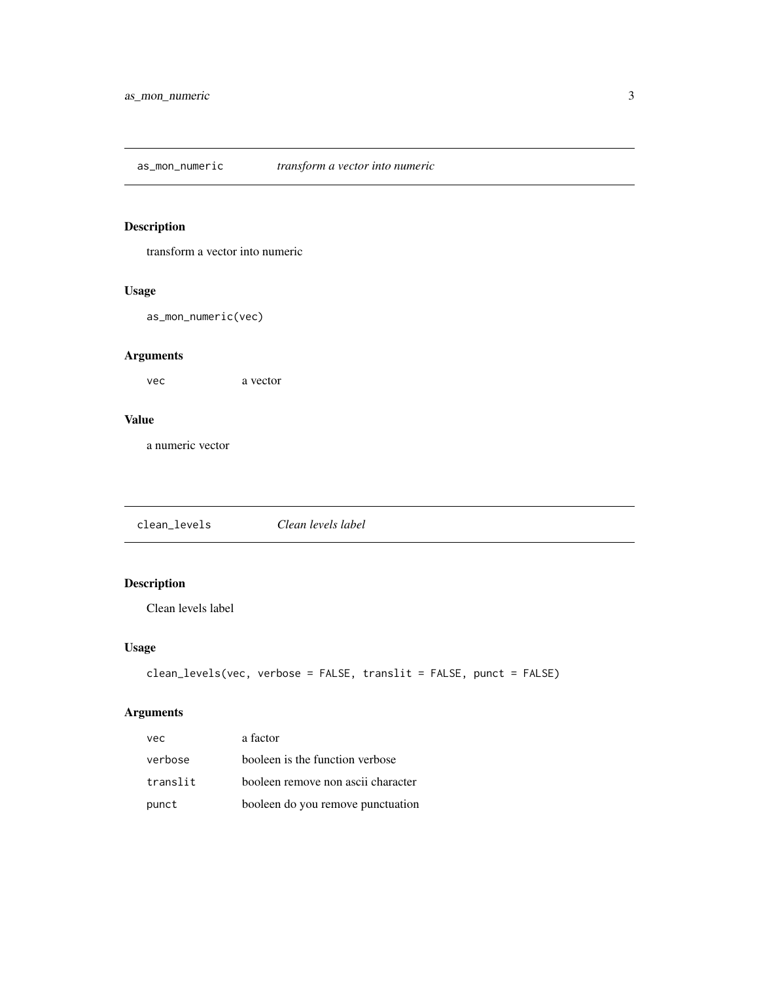<span id="page-2-0"></span>as\_mon\_numeric *transform a vector into numeric*

#### Description

transform a vector into numeric

#### Usage

as\_mon\_numeric(vec)

#### Arguments

vec a vector

#### Value

a numeric vector

clean\_levels *Clean levels label*

### Description

Clean levels label

#### Usage

```
clean_levels(vec, verbose = FALSE, translit = FALSE, punct = FALSE)
```
#### Arguments

| vec      | a factor                           |
|----------|------------------------------------|
| verbose  | booleen is the function verbose    |
| translit | booleen remove non ascii character |
| punct    | booleen do you remove punctuation  |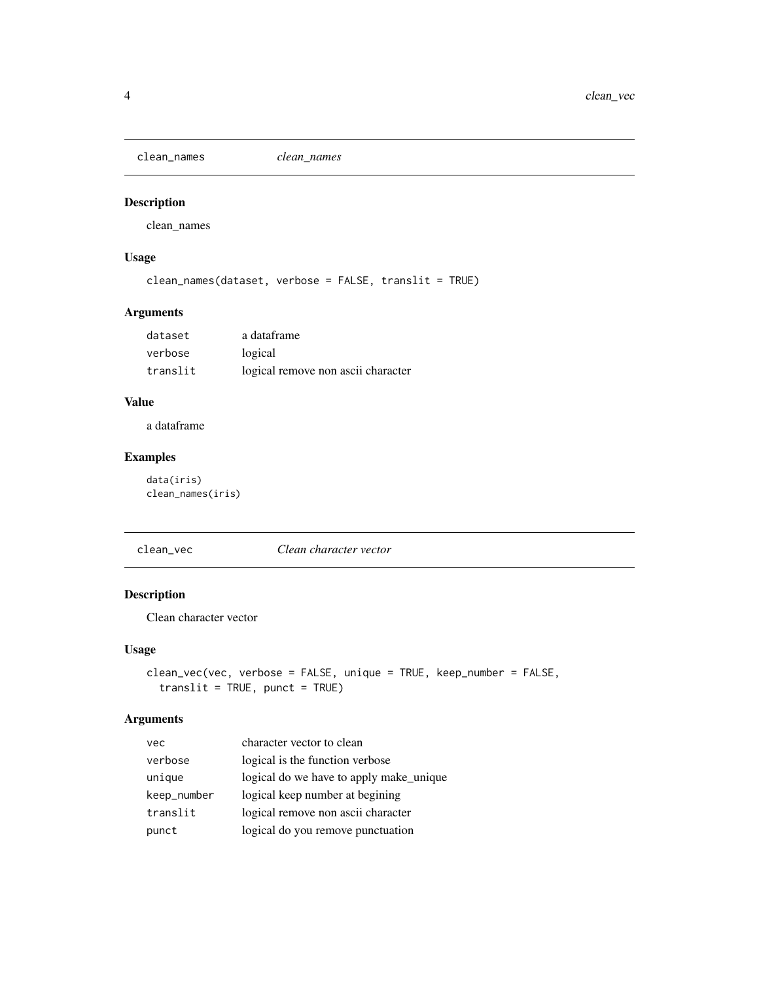<span id="page-3-0"></span>clean\_names *clean\_names*

#### Description

clean\_names

#### Usage

```
clean_names(dataset, verbose = FALSE, translit = TRUE)
```
#### Arguments

| dataset  | a dataframe                        |
|----------|------------------------------------|
| verbose  | logical                            |
| translit | logical remove non ascii character |

#### Value

a dataframe

#### Examples

data(iris) clean\_names(iris)

clean\_vec *Clean character vector*

#### Description

Clean character vector

#### Usage

```
clean_vec(vec, verbose = FALSE, unique = TRUE, keep_number = FALSE,
  translit = TRUE, punct = TRUE)
```
#### Arguments

| vec         | character vector to clean               |
|-------------|-----------------------------------------|
| verbose     | logical is the function verbose         |
| unique      | logical do we have to apply make_unique |
| keep_number | logical keep number at begining         |
| translit    | logical remove non ascii character      |
| punct       | logical do you remove punctuation       |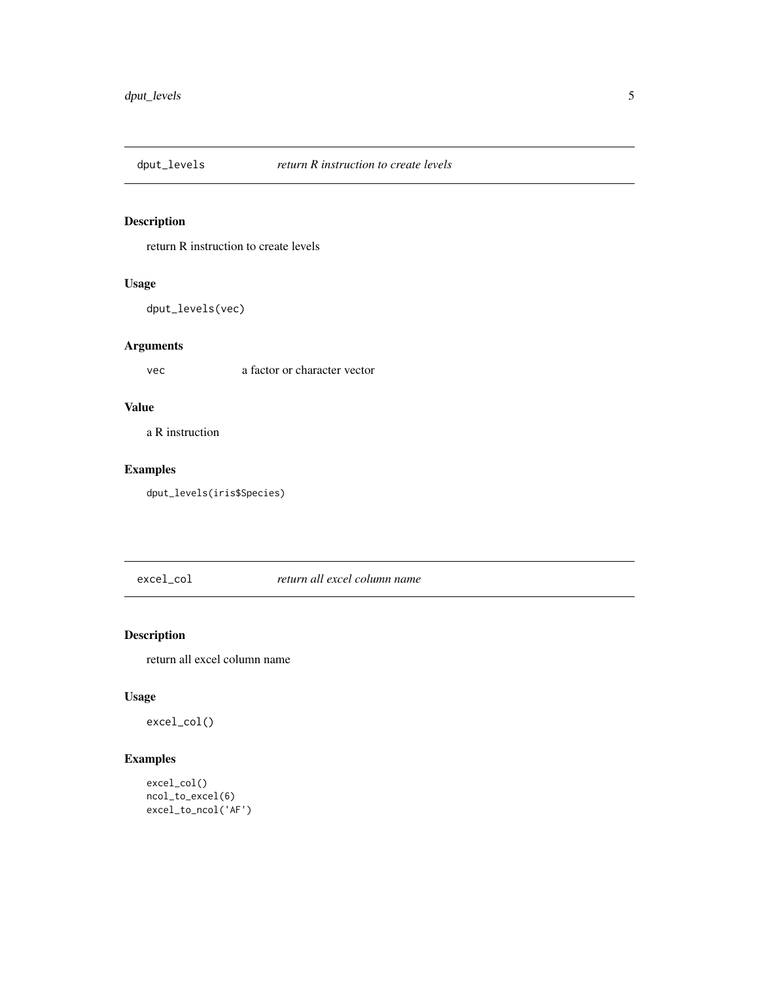<span id="page-4-0"></span>

return R instruction to create levels

#### Usage

dput\_levels(vec)

#### Arguments

vec a factor or character vector

#### Value

a R instruction

#### Examples

dput\_levels(iris\$Species)

excel\_col *return all excel column name*

#### Description

return all excel column name

#### Usage

excel\_col()

#### Examples

```
excel_col()
ncol_to_excel(6)
excel_to_ncol('AF')
```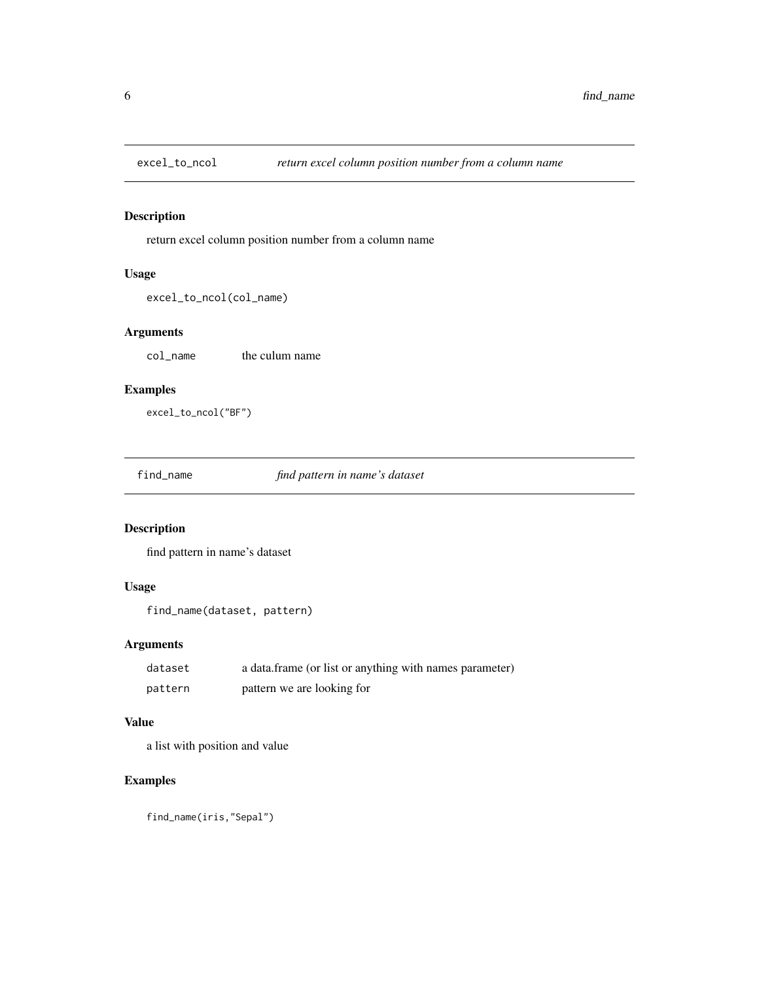<span id="page-5-0"></span>

return excel column position number from a column name

#### Usage

```
excel_to_ncol(col_name)
```
#### Arguments

col\_name the culum name

#### Examples

excel\_to\_ncol("BF")

find\_name *find pattern in name's dataset*

#### Description

find pattern in name's dataset

#### Usage

```
find_name(dataset, pattern)
```
#### Arguments

| dataset | a data.frame (or list or anything with names parameter) |
|---------|---------------------------------------------------------|
| pattern | pattern we are looking for                              |

#### Value

a list with position and value

#### Examples

find\_name(iris,"Sepal")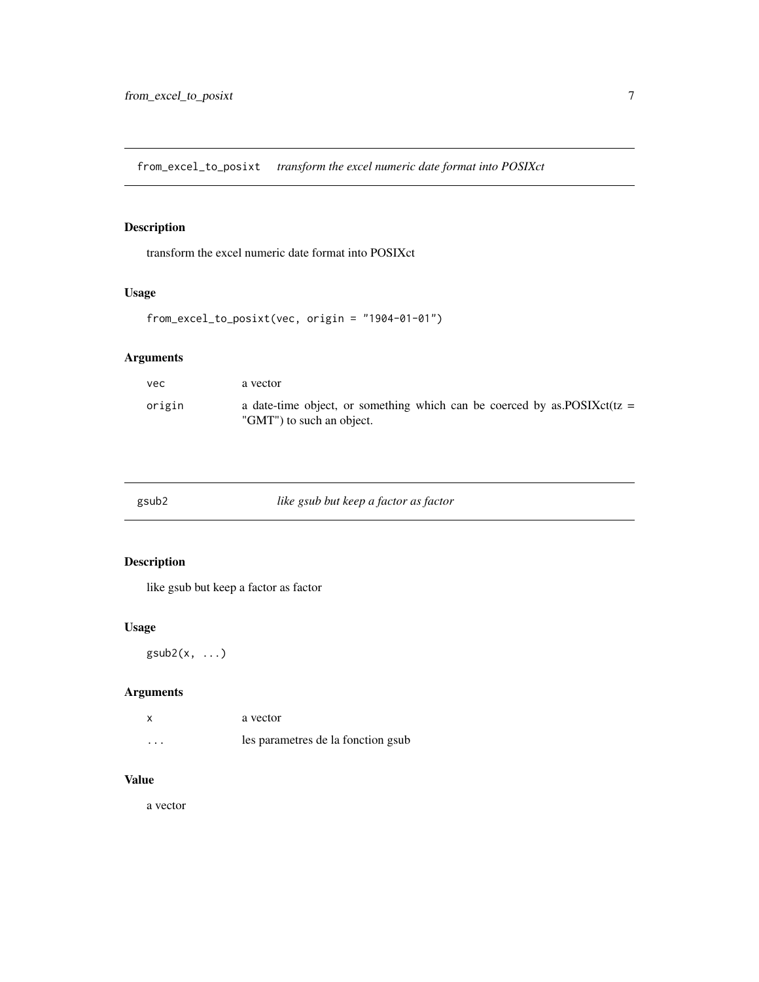<span id="page-6-0"></span>from\_excel\_to\_posixt *transform the excel numeric date format into POSIXct*

#### Description

transform the excel numeric date format into POSIXct

#### Usage

```
from_excel_to_posixt(vec, origin = "1904-01-01")
```
#### Arguments

| vec    | a vector                                                                                                |
|--------|---------------------------------------------------------------------------------------------------------|
| origin | a date-time object, or something which can be coerced by as POSIX $ct(tz)$<br>"GMT") to such an object. |

| gsub2 | like gsub but keep a factor as factor |  |
|-------|---------------------------------------|--|
|       |                                       |  |

#### Description

like gsub but keep a factor as factor

#### Usage

 $gsub2(x, \ldots)$ 

#### Arguments

| X        | a vector                           |
|----------|------------------------------------|
| $\cdots$ | les parametres de la fonction gsub |

#### Value

a vector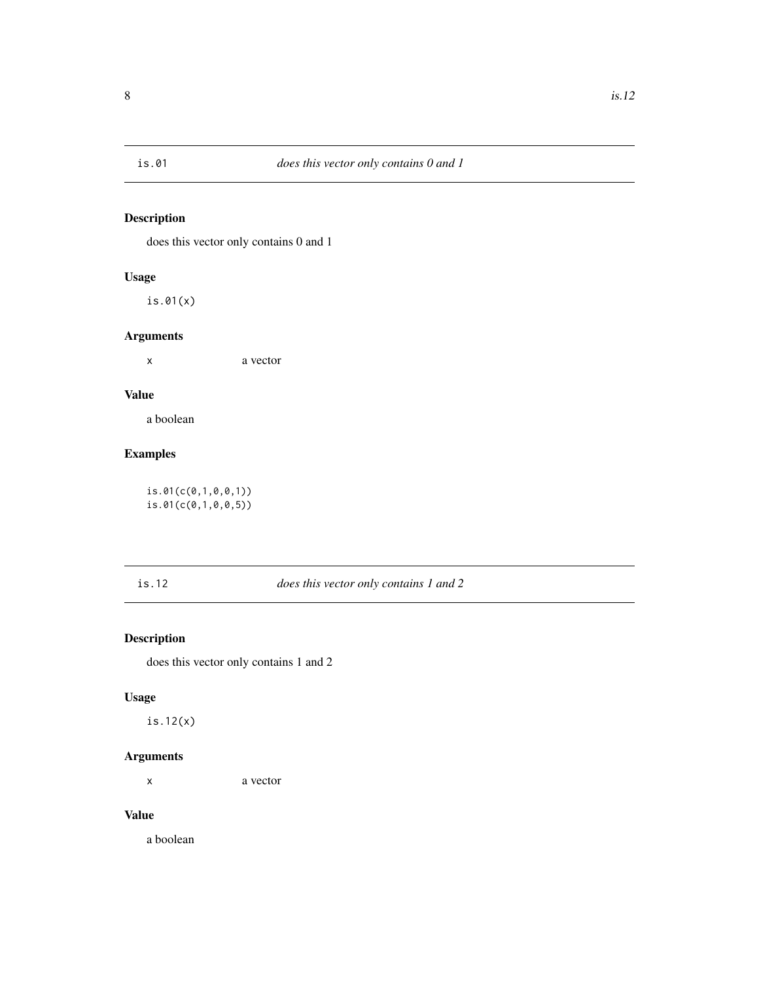<span id="page-7-0"></span>

does this vector only contains 0 and 1

#### Usage

is.01(x)

#### Arguments

x a vector

#### Value

a boolean

#### Examples

is.01(c(0,1,0,0,1)) is.01(c(0,1,0,0,5))

#### is.12 *does this vector only contains 1 and 2*

#### Description

does this vector only contains 1 and 2

#### Usage

is.12(x)

#### Arguments

x a vector

#### Value

a boolean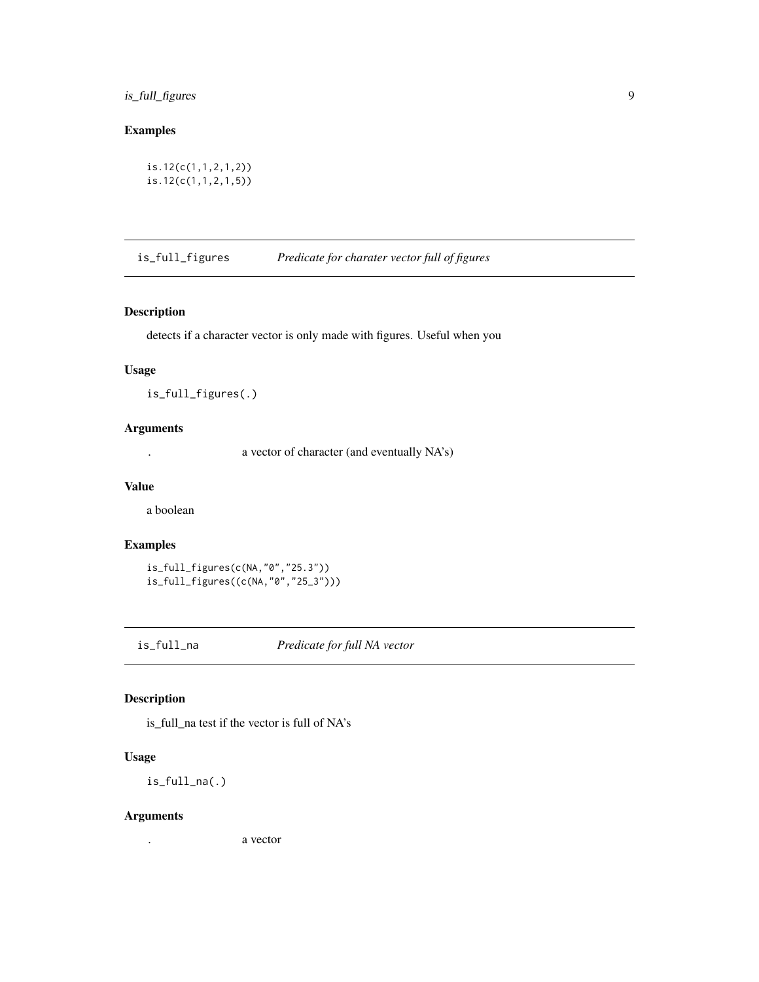#### <span id="page-8-0"></span>is\_full\_figures 9

#### Examples

is.12(c(1,1,2,1,2)) is.12(c(1,1,2,1,5))

is\_full\_figures *Predicate for charater vector full of figures*

#### Description

detects if a character vector is only made with figures. Useful when you

#### Usage

is\_full\_figures(.)

#### Arguments

. a vector of character (and eventually NA's)

#### Value

a boolean

#### Examples

```
is_full_figures(c(NA,"0","25.3"))
is_full_figures((c(NA,"0","25_3")))
```
is\_full\_na *Predicate for full NA vector*

#### Description

is\_full\_na test if the vector is full of NA's

#### Usage

is\_full\_na(.)

#### Arguments

. a vector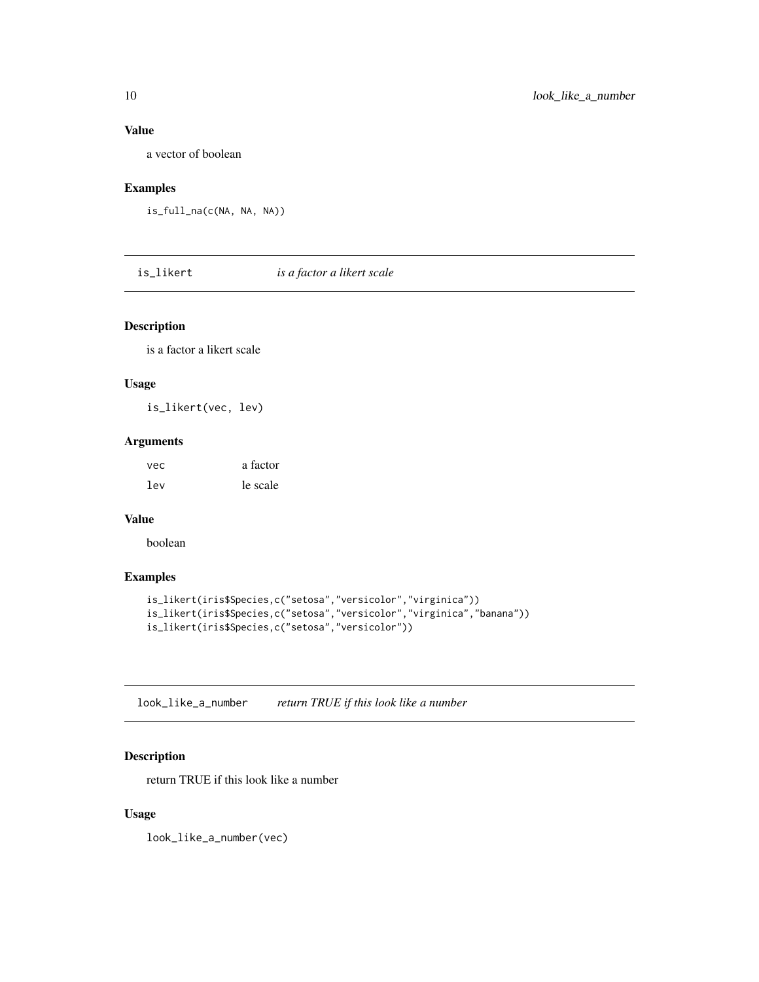#### <span id="page-9-0"></span>Value

a vector of boolean

#### Examples

```
is_full_na(c(NA, NA, NA))
```
is\_likert *is a factor a likert scale*

#### Description

is a factor a likert scale

#### Usage

is\_likert(vec, lev)

#### Arguments

| vec | a factor |
|-----|----------|
| lev | le scale |

#### Value

boolean

#### Examples

```
is_likert(iris$Species,c("setosa","versicolor","virginica"))
is_likert(iris$Species,c("setosa","versicolor","virginica","banana"))
is_likert(iris$Species,c("setosa","versicolor"))
```
look\_like\_a\_number *return TRUE if this look like a number*

#### Description

return TRUE if this look like a number

#### Usage

look\_like\_a\_number(vec)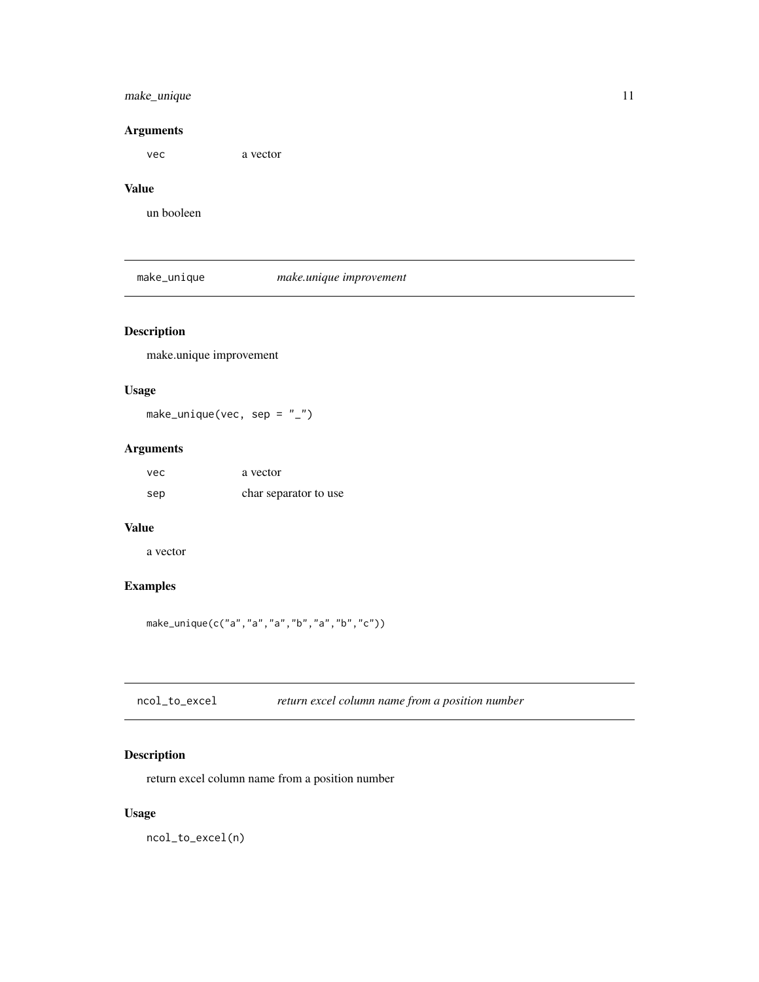#### <span id="page-10-0"></span>make\_unique 11

#### Arguments

vec a vector

### Value

un booleen

#### make\_unique *make.unique improvement*

#### Description

make.unique improvement

#### Usage

make\_unique(vec, sep =  $"$ \_")

#### Arguments

| vec | a vector              |
|-----|-----------------------|
| sep | char separator to use |

#### Value

a vector

### Examples

make\_unique(c("a","a","a","b","a","b","c"))

| return excel column name from a position number<br>ncol_to_excel |  |  |
|------------------------------------------------------------------|--|--|
|------------------------------------------------------------------|--|--|

#### Description

return excel column name from a position number

### Usage

ncol\_to\_excel(n)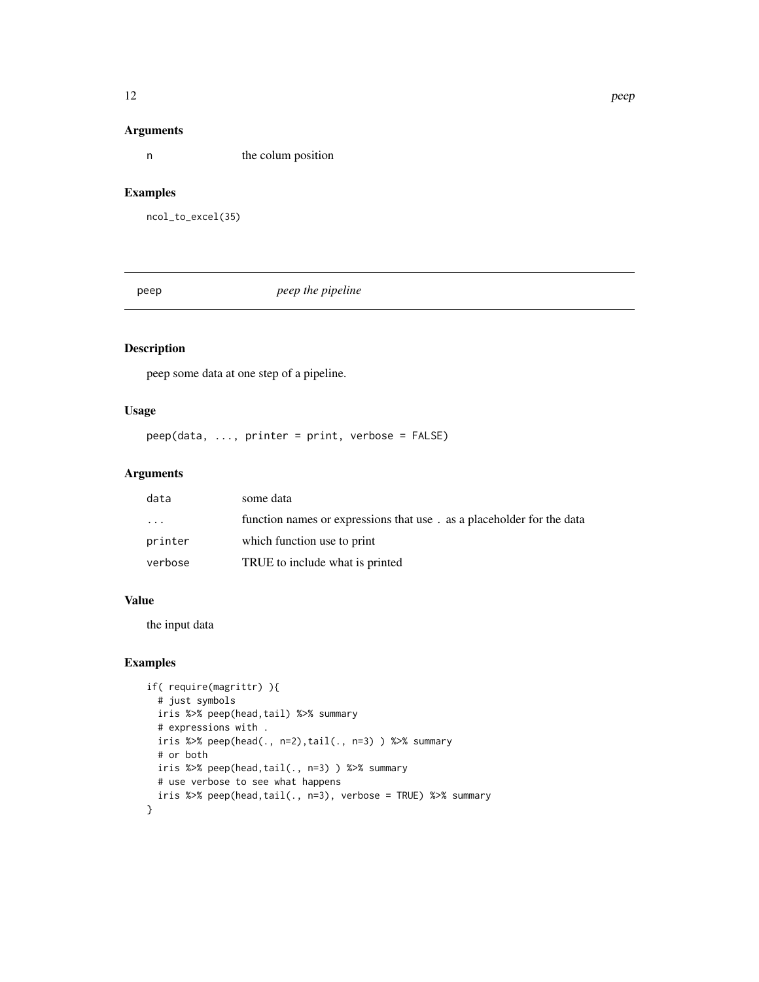#### Arguments

n the colum position

#### Examples

ncol\_to\_excel(35)

peep *peep the pipeline*

## Description

peep some data at one step of a pipeline.

#### Usage

peep(data, ..., printer = print, verbose = FALSE)

#### Arguments

| data      | some data                                                             |
|-----------|-----------------------------------------------------------------------|
| $\ddotsc$ | function names or expressions that use. as a placeholder for the data |
| printer   | which function use to print                                           |
| verbose   | TRUE to include what is printed                                       |

#### Value

the input data

#### Examples

```
if( require(magrittr) ){
 # just symbols
 iris %>% peep(head,tail) %>% summary
 # expressions with .
 iris %>% peep(head(., n=2),tail(., n=3) ) %>% summary
 # or both
 iris %>% peep(head,tail(., n=3) ) %>% summary
 # use verbose to see what happens
 iris %>% peep(head,tail(., n=3), verbose = TRUE) %>% summary
}
```
<span id="page-11-0"></span>12 peep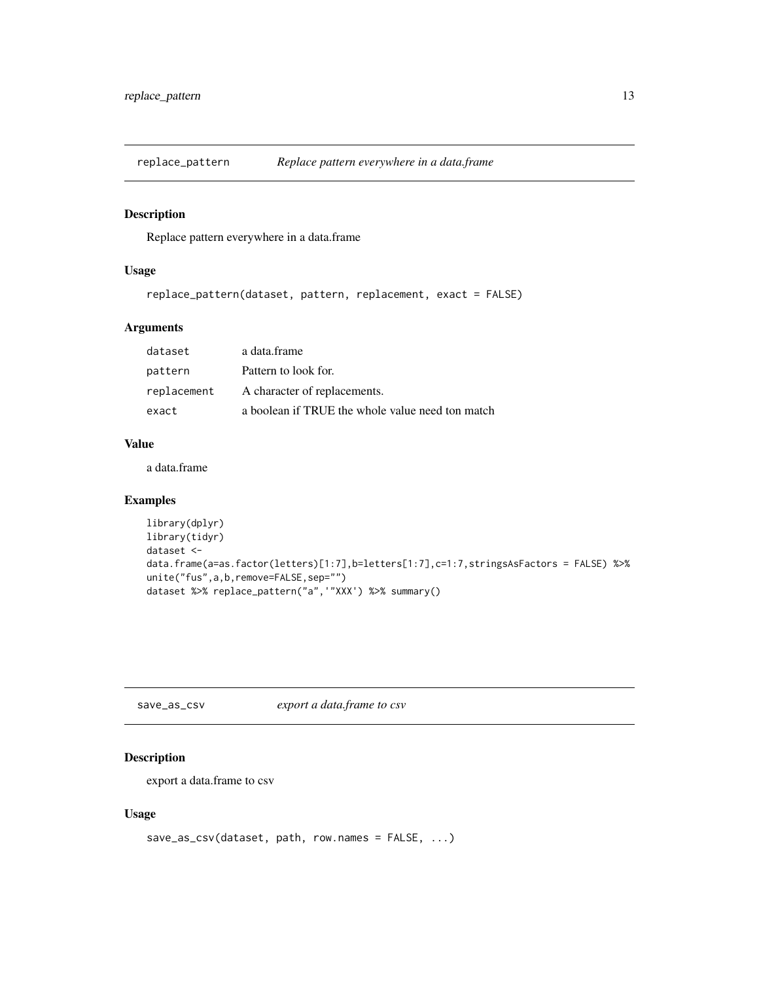<span id="page-12-0"></span>

Replace pattern everywhere in a data.frame

#### Usage

```
replace_pattern(dataset, pattern, replacement, exact = FALSE)
```
#### Arguments

| dataset     | a data.frame                                     |
|-------------|--------------------------------------------------|
| pattern     | Pattern to look for.                             |
| replacement | A character of replacements.                     |
| exact       | a boolean if TRUE the whole value need ton match |

#### Value

a data.frame

#### Examples

```
library(dplyr)
library(tidyr)
dataset <-
data.frame(a=as.factor(letters)[1:7],b=letters[1:7],c=1:7,stringsAsFactors = FALSE) %>%
unite("fus",a,b,remove=FALSE,sep="")
dataset %>% replace_pattern("a",'"XXX') %>% summary()
```
save\_as\_csv *export a data.frame to csv*

#### Description

export a data.frame to csv

#### Usage

```
save_as_csv(dataset, path, row.names = FALSE, ...)
```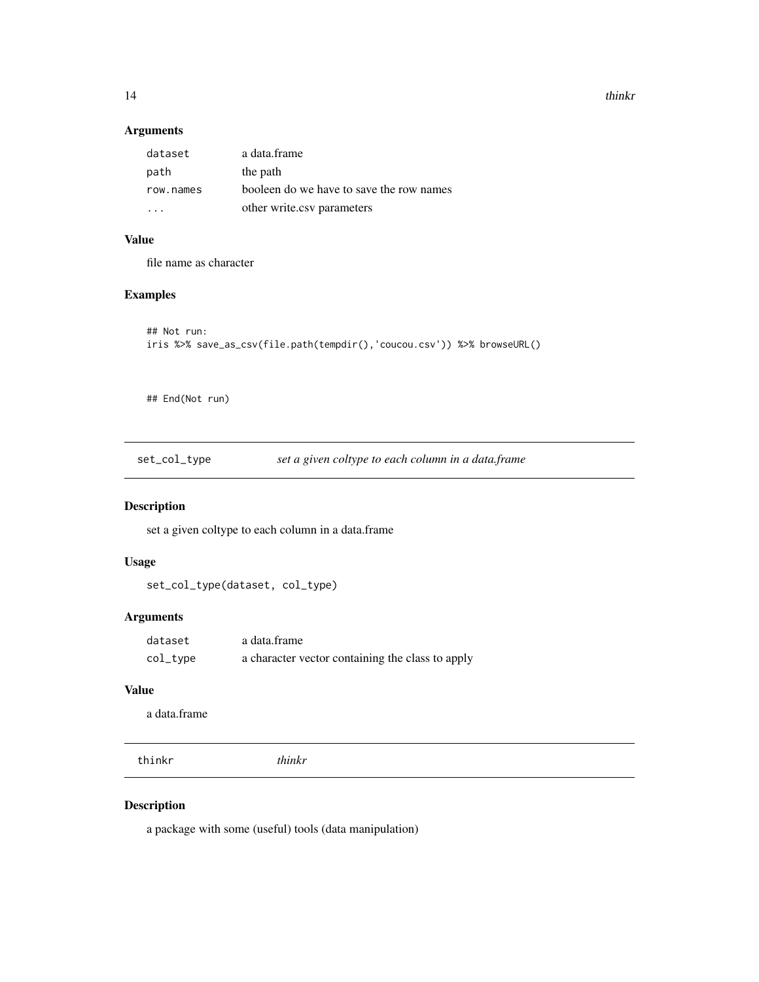14 thinkr

#### Arguments

| dataset   | a data.frame                             |
|-----------|------------------------------------------|
| path      | the path                                 |
| row.names | booleen do we have to save the row names |
|           | other write.csv parameters               |

# Value

file name as character

#### Examples

```
## Not run:
iris %>% save_as_csv(file.path(tempdir(),'coucou.csv')) %>% browseURL()
```
## End(Not run)

set\_col\_type *set a given coltype to each column in a data.frame*

#### Description

set a given coltype to each column in a data.frame

#### Usage

```
set_col_type(dataset, col_type)
```
#### Arguments

| dataset     | a data.frame                                     |
|-------------|--------------------------------------------------|
| $col\_type$ | a character vector containing the class to apply |

#### Value

a data.frame

thinkr *thinkr*

## Description

a package with some (useful) tools (data manipulation)

<span id="page-13-0"></span>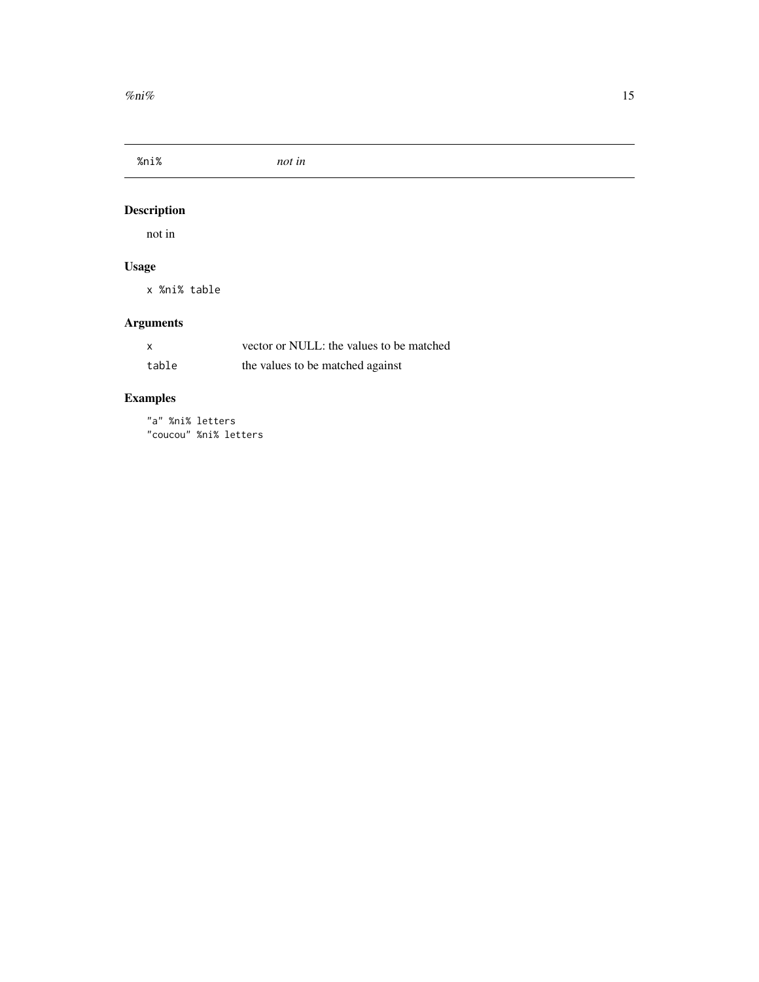<span id="page-14-0"></span>%ni% *not in*

# Description

not in

# Usage

x %ni% table

# Arguments

| $\boldsymbol{\mathsf{x}}$ | vector or NULL: the values to be matched |
|---------------------------|------------------------------------------|
| table                     | the values to be matched against         |

# Examples

"a" %ni% letters "coucou" %ni% letters